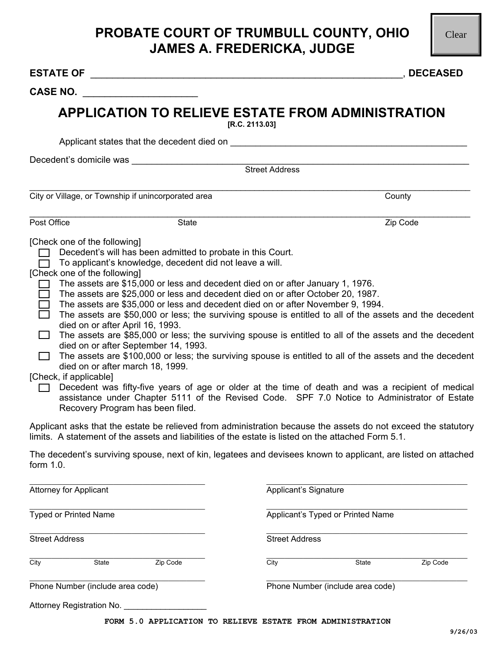## **PROBATE COURT OF TRUMBULL COUNTY, OHIO JAMES A. FREDERICKA, JUDGE**

| <b>CASE NO.</b>                                                                                  |                                                                                                                                                                                                                                                                                                                                                                                                                                                                                                                                                                                                                                                                                                                                                                                                                                                                                                                                                                                                                                                                                                                                                                                                                                                                                                                                                                                                                      |                       |                                   |          |  |
|--------------------------------------------------------------------------------------------------|----------------------------------------------------------------------------------------------------------------------------------------------------------------------------------------------------------------------------------------------------------------------------------------------------------------------------------------------------------------------------------------------------------------------------------------------------------------------------------------------------------------------------------------------------------------------------------------------------------------------------------------------------------------------------------------------------------------------------------------------------------------------------------------------------------------------------------------------------------------------------------------------------------------------------------------------------------------------------------------------------------------------------------------------------------------------------------------------------------------------------------------------------------------------------------------------------------------------------------------------------------------------------------------------------------------------------------------------------------------------------------------------------------------------|-----------------------|-----------------------------------|----------|--|
|                                                                                                  | <b>APPLICATION TO RELIEVE ESTATE FROM ADMINISTRATION</b>                                                                                                                                                                                                                                                                                                                                                                                                                                                                                                                                                                                                                                                                                                                                                                                                                                                                                                                                                                                                                                                                                                                                                                                                                                                                                                                                                             | [R.C. 2113.03]        |                                   |          |  |
|                                                                                                  |                                                                                                                                                                                                                                                                                                                                                                                                                                                                                                                                                                                                                                                                                                                                                                                                                                                                                                                                                                                                                                                                                                                                                                                                                                                                                                                                                                                                                      |                       |                                   |          |  |
| Decedent's domicile was                                                                          |                                                                                                                                                                                                                                                                                                                                                                                                                                                                                                                                                                                                                                                                                                                                                                                                                                                                                                                                                                                                                                                                                                                                                                                                                                                                                                                                                                                                                      | Street Address        |                                   |          |  |
|                                                                                                  |                                                                                                                                                                                                                                                                                                                                                                                                                                                                                                                                                                                                                                                                                                                                                                                                                                                                                                                                                                                                                                                                                                                                                                                                                                                                                                                                                                                                                      |                       |                                   |          |  |
|                                                                                                  | City or Village, or Township if unincorporated area                                                                                                                                                                                                                                                                                                                                                                                                                                                                                                                                                                                                                                                                                                                                                                                                                                                                                                                                                                                                                                                                                                                                                                                                                                                                                                                                                                  |                       |                                   | County   |  |
| Post Office                                                                                      | <b>State</b>                                                                                                                                                                                                                                                                                                                                                                                                                                                                                                                                                                                                                                                                                                                                                                                                                                                                                                                                                                                                                                                                                                                                                                                                                                                                                                                                                                                                         |                       |                                   | Zip Code |  |
| [Check one of the following]<br>[Check one of the following]<br>$\Box$<br>[Check, if applicable] | Decedent's will has been admitted to probate in this Court.<br>To applicant's knowledge, decedent did not leave a will.<br>The assets are \$15,000 or less and decedent died on or after January 1, 1976.<br>The assets are \$25,000 or less and decedent died on or after October 20, 1987.<br>The assets are \$35,000 or less and decedent died on or after November 9, 1994.<br>The assets are \$50,000 or less; the surviving spouse is entitled to all of the assets and the decedent<br>died on or after April 16, 1993.<br>The assets are \$85,000 or less; the surviving spouse is entitled to all of the assets and the decedent<br>died on or after September 14, 1993.<br>The assets are \$100,000 or less; the surviving spouse is entitled to all of the assets and the decedent<br>died on or after march 18, 1999.<br>Decedent was fifty-five years of age or older at the time of death and was a recipient of medical<br>assistance under Chapter 5111 of the Revised Code. SPF 7.0 Notice to Administrator of Estate<br>Recovery Program has been filed.<br>Applicant asks that the estate be relieved from administration because the assets do not exceed the statutory<br>limits. A statement of the assets and liabilities of the estate is listed on the attached Form 5.1.<br>The decedent's surviving spouse, next of kin, legatees and devisees known to applicant, are listed on attached |                       |                                   |          |  |
| form $1.0$ .<br><b>Attorney for Applicant</b>                                                    |                                                                                                                                                                                                                                                                                                                                                                                                                                                                                                                                                                                                                                                                                                                                                                                                                                                                                                                                                                                                                                                                                                                                                                                                                                                                                                                                                                                                                      | Applicant's Signature |                                   |          |  |
|                                                                                                  |                                                                                                                                                                                                                                                                                                                                                                                                                                                                                                                                                                                                                                                                                                                                                                                                                                                                                                                                                                                                                                                                                                                                                                                                                                                                                                                                                                                                                      |                       |                                   |          |  |
| <b>Typed or Printed Name</b>                                                                     |                                                                                                                                                                                                                                                                                                                                                                                                                                                                                                                                                                                                                                                                                                                                                                                                                                                                                                                                                                                                                                                                                                                                                                                                                                                                                                                                                                                                                      |                       | Applicant's Typed or Printed Name |          |  |
| <b>Street Address</b>                                                                            |                                                                                                                                                                                                                                                                                                                                                                                                                                                                                                                                                                                                                                                                                                                                                                                                                                                                                                                                                                                                                                                                                                                                                                                                                                                                                                                                                                                                                      | <b>Street Address</b> |                                   |          |  |
| City<br>State                                                                                    | Zip Code                                                                                                                                                                                                                                                                                                                                                                                                                                                                                                                                                                                                                                                                                                                                                                                                                                                                                                                                                                                                                                                                                                                                                                                                                                                                                                                                                                                                             | City                  | State                             | Zip Code |  |
|                                                                                                  |                                                                                                                                                                                                                                                                                                                                                                                                                                                                                                                                                                                                                                                                                                                                                                                                                                                                                                                                                                                                                                                                                                                                                                                                                                                                                                                                                                                                                      |                       |                                   |          |  |
| Phone Number (include area code)                                                                 |                                                                                                                                                                                                                                                                                                                                                                                                                                                                                                                                                                                                                                                                                                                                                                                                                                                                                                                                                                                                                                                                                                                                                                                                                                                                                                                                                                                                                      |                       | Phone Number (include area code)  |          |  |